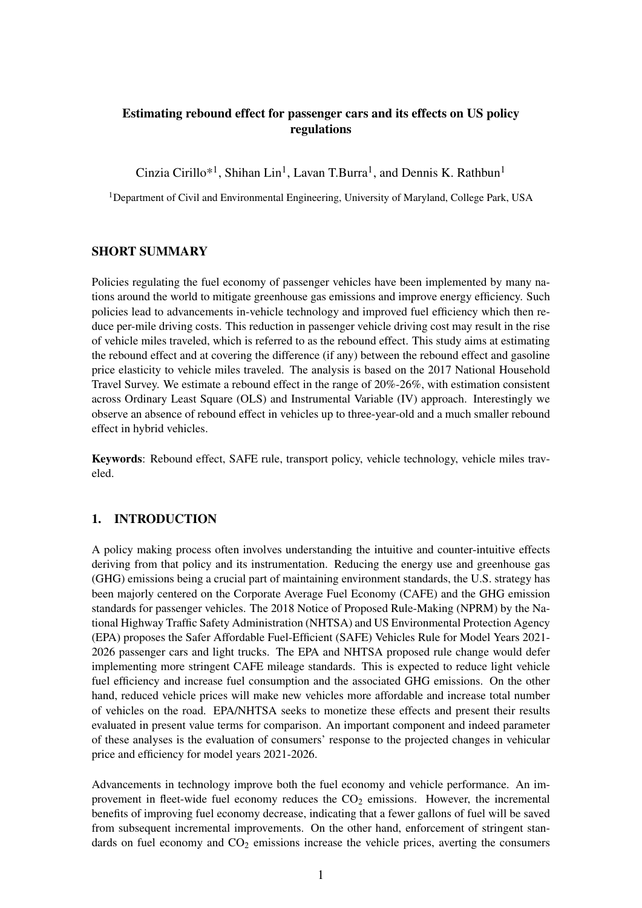# Estimating rebound effect for passenger cars and its effects on US policy regulations

Cinzia Cirillo\*<sup>1</sup>, Shihan Lin<sup>1</sup>, Lavan T.Burra<sup>1</sup>, and Dennis K. Rathbun<sup>1</sup>

<sup>1</sup>Department of Civil and Environmental Engineering, University of Maryland, College Park, USA

### SHORT SUMMARY

Policies regulating the fuel economy of passenger vehicles have been implemented by many nations around the world to mitigate greenhouse gas emissions and improve energy efficiency. Such policies lead to advancements in-vehicle technology and improved fuel efficiency which then reduce per-mile driving costs. This reduction in passenger vehicle driving cost may result in the rise of vehicle miles traveled, which is referred to as the rebound effect. This study aims at estimating the rebound effect and at covering the difference (if any) between the rebound effect and gasoline price elasticity to vehicle miles traveled. The analysis is based on the 2017 National Household Travel Survey. We estimate a rebound effect in the range of 20%-26%, with estimation consistent across Ordinary Least Square (OLS) and Instrumental Variable (IV) approach. Interestingly we observe an absence of rebound effect in vehicles up to three-year-old and a much smaller rebound effect in hybrid vehicles.

Keywords: Rebound effect, SAFE rule, transport policy, vehicle technology, vehicle miles traveled.

### 1. INTRODUCTION

A policy making process often involves understanding the intuitive and counter-intuitive effects deriving from that policy and its instrumentation. Reducing the energy use and greenhouse gas (GHG) emissions being a crucial part of maintaining environment standards, the U.S. strategy has been majorly centered on the Corporate Average Fuel Economy (CAFE) and the GHG emission standards for passenger vehicles. The 2018 Notice of Proposed Rule-Making (NPRM) by the National Highway Traffic Safety Administration (NHTSA) and US Environmental Protection Agency (EPA) proposes the Safer Affordable Fuel-Efficient (SAFE) Vehicles Rule for Model Years 2021- 2026 passenger cars and light trucks. The EPA and NHTSA proposed rule change would defer implementing more stringent CAFE mileage standards. This is expected to reduce light vehicle fuel efficiency and increase fuel consumption and the associated GHG emissions. On the other hand, reduced vehicle prices will make new vehicles more affordable and increase total number of vehicles on the road. EPA/NHTSA seeks to monetize these effects and present their results evaluated in present value terms for comparison. An important component and indeed parameter of these analyses is the evaluation of consumers' response to the projected changes in vehicular price and efficiency for model years 2021-2026.

Advancements in technology improve both the fuel economy and vehicle performance. An improvement in fleet-wide fuel economy reduces the  $CO<sub>2</sub>$  emissions. However, the incremental benefits of improving fuel economy decrease, indicating that a fewer gallons of fuel will be saved from subsequent incremental improvements. On the other hand, enforcement of stringent standards on fuel economy and  $CO<sub>2</sub>$  emissions increase the vehicle prices, averting the consumers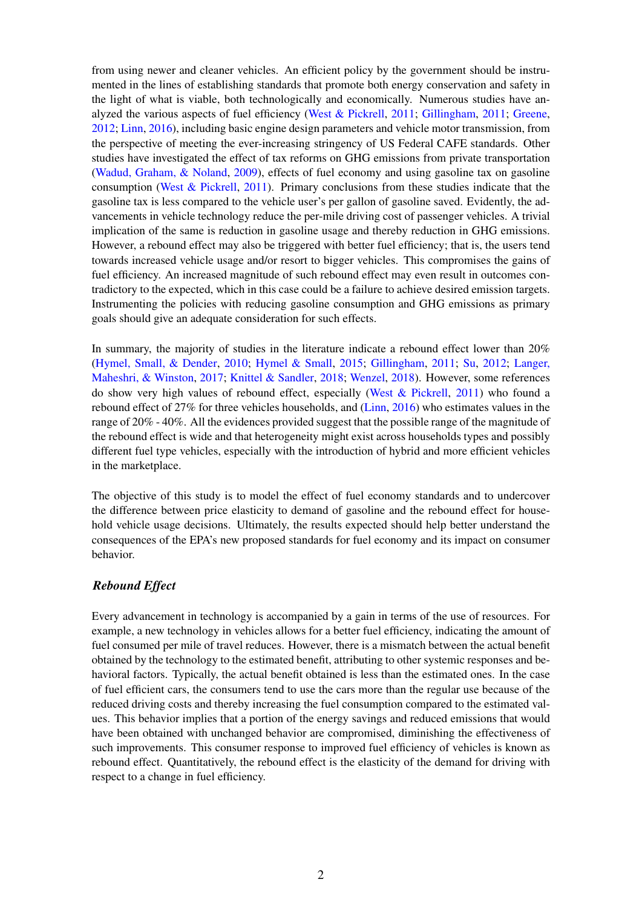from using newer and cleaner vehicles. An efficient policy by the government should be instrumented in the lines of establishing standards that promote both energy conservation and safety in the light of what is viable, both technologically and economically. Numerous studies have analyzed the various aspects of fuel efficiency [\(West & Pickrell,](#page-9-0) [2011;](#page-9-0) [Gillingham,](#page-8-0) [2011;](#page-8-0) [Greene,](#page-8-1) [2012;](#page-8-1) [Linn,](#page-8-2) [2016\)](#page-8-2), including basic engine design parameters and vehicle motor transmission, from the perspective of meeting the ever-increasing stringency of US Federal CAFE standards. Other studies have investigated the effect of tax reforms on GHG emissions from private transportation [\(Wadud, Graham, & Noland,](#page-9-1) [2009\)](#page-9-1), effects of fuel economy and using gasoline tax on gasoline consumption [\(West & Pickrell,](#page-9-0) [2011\)](#page-9-0). Primary conclusions from these studies indicate that the gasoline tax is less compared to the vehicle user's per gallon of gasoline saved. Evidently, the advancements in vehicle technology reduce the per-mile driving cost of passenger vehicles. A trivial implication of the same is reduction in gasoline usage and thereby reduction in GHG emissions. However, a rebound effect may also be triggered with better fuel efficiency; that is, the users tend towards increased vehicle usage and/or resort to bigger vehicles. This compromises the gains of fuel efficiency. An increased magnitude of such rebound effect may even result in outcomes contradictory to the expected, which in this case could be a failure to achieve desired emission targets. Instrumenting the policies with reducing gasoline consumption and GHG emissions as primary goals should give an adequate consideration for such effects.

In summary, the majority of studies in the literature indicate a rebound effect lower than 20% [\(Hymel, Small, & Dender,](#page-8-3) [2010;](#page-8-3) [Hymel & Small,](#page-8-4) [2015;](#page-8-4) [Gillingham,](#page-8-0) [2011;](#page-8-0) [Su,](#page-9-2) [2012;](#page-9-2) [Langer,](#page-8-5) [Maheshri, & Winston,](#page-8-5) [2017;](#page-8-5) [Knittel & Sandler,](#page-8-6) [2018;](#page-8-6) [Wenzel,](#page-9-3) [2018\)](#page-9-3). However, some references do show very high values of rebound effect, especially [\(West & Pickrell,](#page-9-0) [2011\)](#page-9-0) who found a rebound effect of 27% for three vehicles households, and [\(Linn,](#page-8-2) [2016\)](#page-8-2) who estimates values in the range of 20% - 40%. All the evidences provided suggest that the possible range of the magnitude of the rebound effect is wide and that heterogeneity might exist across households types and possibly different fuel type vehicles, especially with the introduction of hybrid and more efficient vehicles in the marketplace.

The objective of this study is to model the effect of fuel economy standards and to undercover the difference between price elasticity to demand of gasoline and the rebound effect for household vehicle usage decisions. Ultimately, the results expected should help better understand the consequences of the EPA's new proposed standards for fuel economy and its impact on consumer behavior.

## *Rebound Effect*

Every advancement in technology is accompanied by a gain in terms of the use of resources. For example, a new technology in vehicles allows for a better fuel efficiency, indicating the amount of fuel consumed per mile of travel reduces. However, there is a mismatch between the actual benefit obtained by the technology to the estimated benefit, attributing to other systemic responses and behavioral factors. Typically, the actual benefit obtained is less than the estimated ones. In the case of fuel efficient cars, the consumers tend to use the cars more than the regular use because of the reduced driving costs and thereby increasing the fuel consumption compared to the estimated values. This behavior implies that a portion of the energy savings and reduced emissions that would have been obtained with unchanged behavior are compromised, diminishing the effectiveness of such improvements. This consumer response to improved fuel efficiency of vehicles is known as rebound effect. Quantitatively, the rebound effect is the elasticity of the demand for driving with respect to a change in fuel efficiency.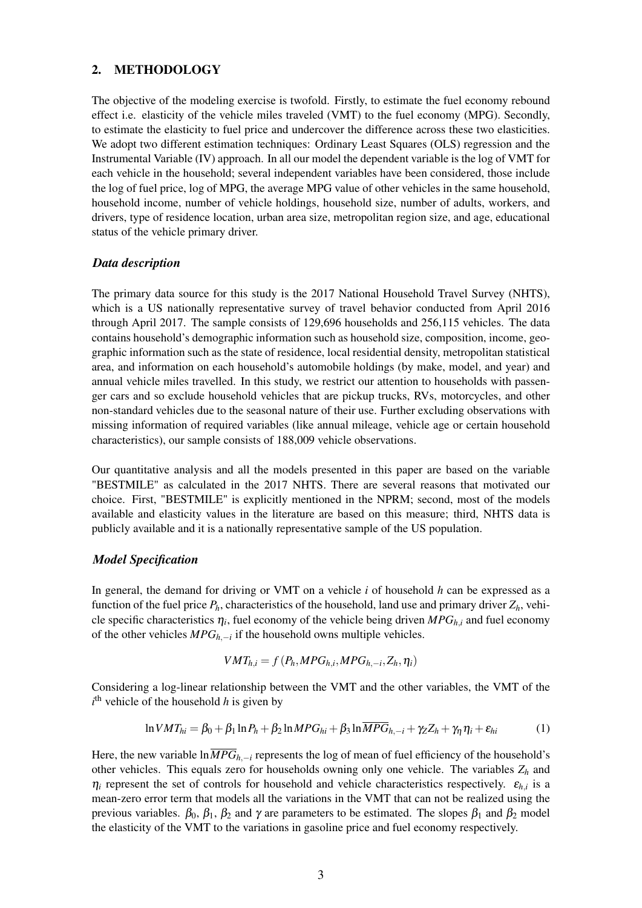## 2. METHODOLOGY

The objective of the modeling exercise is twofold. Firstly, to estimate the fuel economy rebound effect i.e. elasticity of the vehicle miles traveled (VMT) to the fuel economy (MPG). Secondly, to estimate the elasticity to fuel price and undercover the difference across these two elasticities. We adopt two different estimation techniques: Ordinary Least Squares (OLS) regression and the Instrumental Variable (IV) approach. In all our model the dependent variable is the log of VMT for each vehicle in the household; several independent variables have been considered, those include the log of fuel price, log of MPG, the average MPG value of other vehicles in the same household, household income, number of vehicle holdings, household size, number of adults, workers, and drivers, type of residence location, urban area size, metropolitan region size, and age, educational status of the vehicle primary driver.

#### *Data description*

The primary data source for this study is the 2017 National Household Travel Survey (NHTS), which is a US nationally representative survey of travel behavior conducted from April 2016 through April 2017. The sample consists of 129,696 households and 256,115 vehicles. The data contains household's demographic information such as household size, composition, income, geographic information such as the state of residence, local residential density, metropolitan statistical area, and information on each household's automobile holdings (by make, model, and year) and annual vehicle miles travelled. In this study, we restrict our attention to households with passenger cars and so exclude household vehicles that are pickup trucks, RVs, motorcycles, and other non-standard vehicles due to the seasonal nature of their use. Further excluding observations with missing information of required variables (like annual mileage, vehicle age or certain household characteristics), our sample consists of 188,009 vehicle observations.

Our quantitative analysis and all the models presented in this paper are based on the variable "BESTMILE" as calculated in the 2017 NHTS. There are several reasons that motivated our choice. First, "BESTMILE" is explicitly mentioned in the NPRM; second, most of the models available and elasticity values in the literature are based on this measure; third, NHTS data is publicly available and it is a nationally representative sample of the US population.

#### *Model Specification*

In general, the demand for driving or VMT on a vehicle *i* of household *h* can be expressed as a function of the fuel price  $P_h$ , characteristics of the household, land use and primary driver  $Z_h$ , vehicle specific characteristics  $\eta_i$ , fuel economy of the vehicle being driven  $MPG_{h,i}$  and fuel economy of the other vehicles *MPGh*,−*<sup>i</sup>* if the household owns multiple vehicles.

$$
VMT_{h,i} = f(P_h, MPG_{h,i}, MPG_{h,-i}, Z_h, \eta_i)
$$

Considering a log-linear relationship between the VMT and the other variables, the VMT of the  $i<sup>th</sup>$  vehicle of the household *h* is given by

<span id="page-2-0"></span>
$$
\ln VMT_{hi} = \beta_0 + \beta_1 \ln P_h + \beta_2 \ln MPG_{hi} + \beta_3 \ln \overline{MPG}_{h,-i} + \gamma_Z Z_h + \gamma_\eta \eta_i + \varepsilon_{hi}
$$
 (1)

Here, the new variable ln $\overline{MPG}_{h,-i}$  represents the log of mean of fuel efficiency of the household's other vehicles. This equals zero for households owning only one vehicle. The variables *Z<sup>h</sup>* and  $\eta_i$  represent the set of controls for household and vehicle characteristics respectively.  $\varepsilon_{h,i}$  is a mean-zero error term that models all the variations in the VMT that can not be realized using the previous variables.  $\beta_0$ ,  $\beta_1$ ,  $\beta_2$  and  $\gamma$  are parameters to be estimated. The slopes  $\beta_1$  and  $\beta_2$  model the elasticity of the VMT to the variations in gasoline price and fuel economy respectively.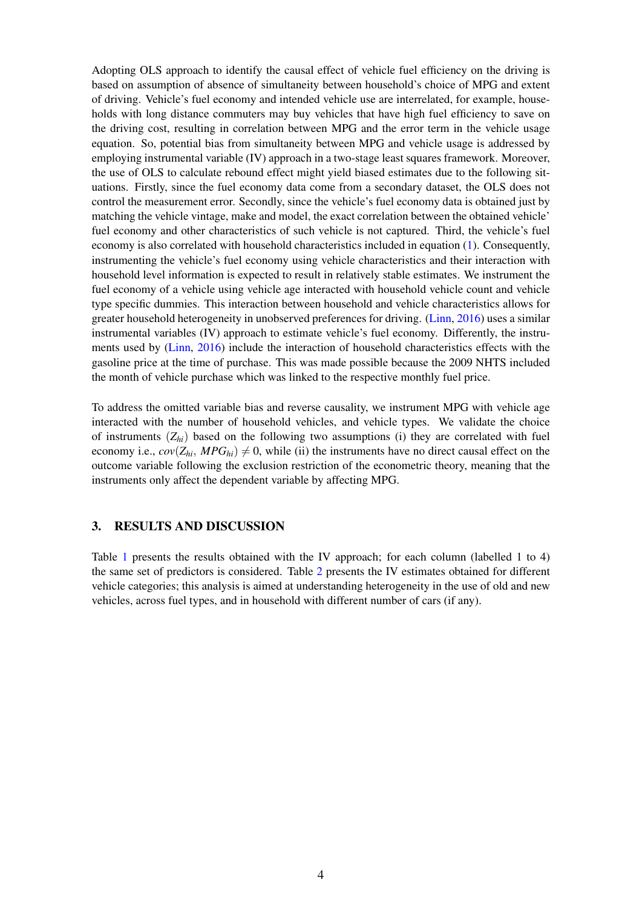Adopting OLS approach to identify the causal effect of vehicle fuel efficiency on the driving is based on assumption of absence of simultaneity between household's choice of MPG and extent of driving. Vehicle's fuel economy and intended vehicle use are interrelated, for example, households with long distance commuters may buy vehicles that have high fuel efficiency to save on the driving cost, resulting in correlation between MPG and the error term in the vehicle usage equation. So, potential bias from simultaneity between MPG and vehicle usage is addressed by employing instrumental variable (IV) approach in a two-stage least squares framework. Moreover, the use of OLS to calculate rebound effect might yield biased estimates due to the following situations. Firstly, since the fuel economy data come from a secondary dataset, the OLS does not control the measurement error. Secondly, since the vehicle's fuel economy data is obtained just by matching the vehicle vintage, make and model, the exact correlation between the obtained vehicle' fuel economy and other characteristics of such vehicle is not captured. Third, the vehicle's fuel economy is also correlated with household characteristics included in equation [\(1\)](#page-2-0). Consequently, instrumenting the vehicle's fuel economy using vehicle characteristics and their interaction with household level information is expected to result in relatively stable estimates. We instrument the fuel economy of a vehicle using vehicle age interacted with household vehicle count and vehicle type specific dummies. This interaction between household and vehicle characteristics allows for greater household heterogeneity in unobserved preferences for driving. [\(Linn,](#page-8-2) [2016\)](#page-8-2) uses a similar instrumental variables (IV) approach to estimate vehicle's fuel economy. Differently, the instruments used by [\(Linn,](#page-8-2) [2016\)](#page-8-2) include the interaction of household characteristics effects with the gasoline price at the time of purchase. This was made possible because the 2009 NHTS included the month of vehicle purchase which was linked to the respective monthly fuel price.

To address the omitted variable bias and reverse causality, we instrument MPG with vehicle age interacted with the number of household vehicles, and vehicle types. We validate the choice of instruments (*Zhi*) based on the following two assumptions (i) they are correlated with fuel economy i.e.,  $cov(Z_{hi}, MPG_{hi}) \neq 0$ , while (ii) the instruments have no direct causal effect on the outcome variable following the exclusion restriction of the econometric theory, meaning that the instruments only affect the dependent variable by affecting MPG.

## 3. RESULTS AND DISCUSSION

Table [1](#page-4-0) presents the results obtained with the IV approach; for each column (labelled 1 to 4) the same set of predictors is considered. Table [2](#page-5-0) presents the IV estimates obtained for different vehicle categories; this analysis is aimed at understanding heterogeneity in the use of old and new vehicles, across fuel types, and in household with different number of cars (if any).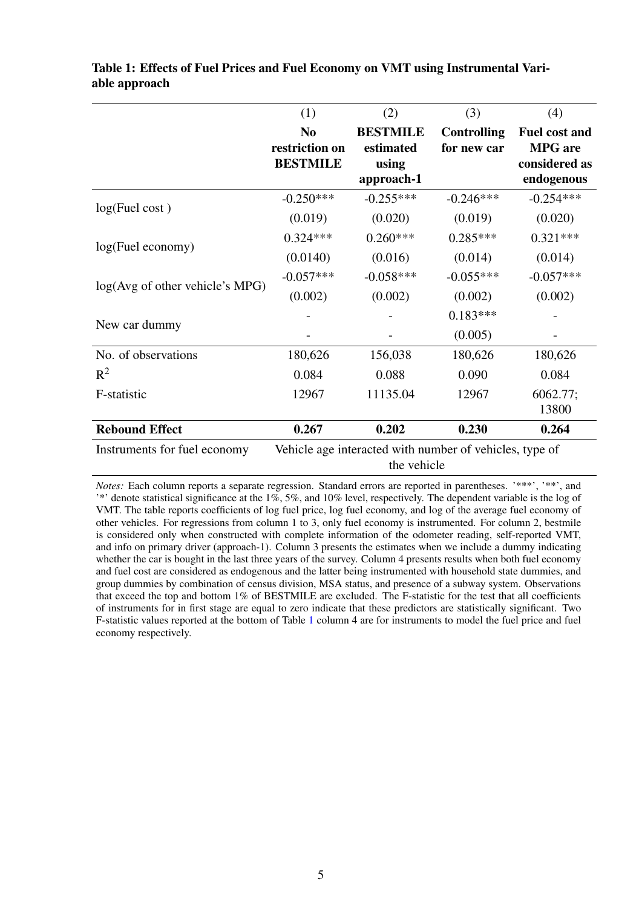|                                 | (1)                                                                    | (2)                                                 | (3)                               | (4)                                                                   |
|---------------------------------|------------------------------------------------------------------------|-----------------------------------------------------|-----------------------------------|-----------------------------------------------------------------------|
|                                 | N <sub>0</sub><br>restriction on<br><b>BESTMILE</b>                    | <b>BESTMILE</b><br>estimated<br>using<br>approach-1 | <b>Controlling</b><br>for new car | <b>Fuel cost and</b><br><b>MPG</b> are<br>considered as<br>endogenous |
| log(Fuel cost)                  | $-0.250***$                                                            | $-0.255***$                                         | $-0.246***$                       | $-0.254***$                                                           |
|                                 | (0.019)                                                                | (0.020)                                             | (0.019)                           | (0.020)                                                               |
| log(Fuel economy)               | $0.324***$                                                             | $0.260***$                                          | $0.285***$                        | $0.321***$                                                            |
|                                 | (0.0140)                                                               | (0.016)                                             | (0.014)                           | (0.014)                                                               |
| log(Avg of other vehicle's MPG) | $-0.057***$                                                            | $-0.058***$                                         | $-0.055***$                       | $-0.057***$                                                           |
|                                 | (0.002)                                                                | (0.002)                                             | (0.002)                           | (0.002)                                                               |
| New car dummy                   |                                                                        |                                                     | $0.183***$                        |                                                                       |
|                                 |                                                                        |                                                     | (0.005)                           |                                                                       |
| No. of observations             | 180,626                                                                | 156,038                                             | 180,626                           | 180,626                                                               |
| $R^2$                           | 0.084                                                                  | 0.088                                               | 0.090                             | 0.084                                                                 |
| F-statistic                     | 12967                                                                  | 11135.04                                            | 12967                             | 6062.77;<br>13800                                                     |
| <b>Rebound Effect</b>           | 0.267                                                                  | 0.202                                               | 0.230                             | 0.264                                                                 |
| Instruments for fuel economy    | Vehicle age interacted with number of vehicles, type of<br>the vehicle |                                                     |                                   |                                                                       |

# <span id="page-4-0"></span>Table 1: Effects of Fuel Prices and Fuel Economy on VMT using Instrumental Variable approach

*Notes:* Each column reports a separate regression. Standard errors are reported in parentheses. '\*\*\*', '\*\*', and '\*' denote statistical significance at the 1%, 5%, and 10% level, respectively. The dependent variable is the log of VMT. The table reports coefficients of log fuel price, log fuel economy, and log of the average fuel economy of other vehicles. For regressions from column 1 to 3, only fuel economy is instrumented. For column 2, bestmile is considered only when constructed with complete information of the odometer reading, self-reported VMT, and info on primary driver (approach-1). Column 3 presents the estimates when we include a dummy indicating whether the car is bought in the last three years of the survey. Column 4 presents results when both fuel economy and fuel cost are considered as endogenous and the latter being instrumented with household state dummies, and group dummies by combination of census division, MSA status, and presence of a subway system. Observations that exceed the top and bottom 1% of BESTMILE are excluded. The F-statistic for the test that all coefficients of instruments for in first stage are equal to zero indicate that these predictors are statistically significant. Two F-statistic values reported at the bottom of Table [1](#page-4-0) column 4 are for instruments to model the fuel price and fuel economy respectively.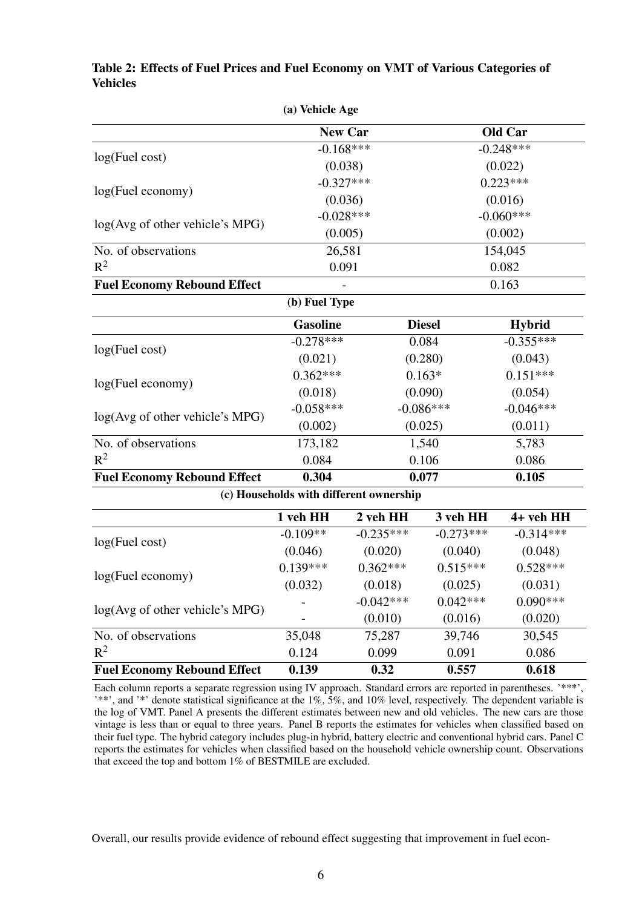|                                    | (a) Vehicle Age                         |                |               |               |  |
|------------------------------------|-----------------------------------------|----------------|---------------|---------------|--|
|                                    |                                         | <b>New Car</b> |               | Old Car       |  |
|                                    | $-0.168***$                             |                | $-0.248***$   |               |  |
| log(Fuel cost)                     | (0.038)                                 |                | (0.022)       |               |  |
| log(Fuel economy)                  | $-0.327***$                             |                | $0.223***$    |               |  |
|                                    | (0.036)                                 |                | (0.016)       |               |  |
| log(Avg of other vehicle's MPG)    | $-0.028***$                             |                | $-0.060***$   |               |  |
|                                    | (0.005)                                 |                | (0.002)       |               |  |
| No. of observations                | 26,581                                  |                |               | 154,045       |  |
| $R^2$                              | 0.091                                   |                |               | 0.082         |  |
| <b>Fuel Economy Rebound Effect</b> |                                         |                |               | 0.163         |  |
|                                    | (b) Fuel Type                           |                |               |               |  |
|                                    | <b>Gasoline</b>                         |                | <b>Diesel</b> | <b>Hybrid</b> |  |
| log(Fuel cost)                     | $-0.278***$                             |                | 0.084         | $-0.355***$   |  |
|                                    | (0.021)                                 |                | (0.280)       | (0.043)       |  |
| log(Fuel economy)                  | $0.362***$                              | $0.163*$       |               | $0.151***$    |  |
|                                    | (0.018)                                 | (0.090)        |               | (0.054)       |  |
| log(Avg of other vehicle's MPG)    | $-0.058***$                             | $-0.086***$    |               | $-0.046***$   |  |
|                                    | (0.002)                                 | (0.025)        |               | (0.011)       |  |
| No. of observations                | 173,182                                 | 1,540          |               | 5,783         |  |
| $R^2$                              | 0.084                                   |                | 0.106         | 0.086         |  |
| <b>Fuel Economy Rebound Effect</b> | 0.304                                   | 0.077          |               | 0.105         |  |
|                                    | (c) Households with different ownership |                |               |               |  |
|                                    | 1 veh HH                                | 2 veh HH       | 3 veh HH      | 4+ veh HH     |  |
| log(Fuel cost)                     | $-0.109**$                              | $-0.235***$    | $-0.273***$   | $-0.314***$   |  |
|                                    | (0.046)                                 | (0.020)        | (0.040)       | (0.048)       |  |
| log(Fuel economy)                  | $0.139***$                              | $0.362***$     | $0.515***$    | $0.528***$    |  |
|                                    | (0.032)                                 | (0.018)        | (0.025)       | (0.031)       |  |
| log(Avg of other vehicle's MPG)    |                                         | $-0.042***$    | $0.042***$    | $0.090***$    |  |
|                                    |                                         | (0.010)        | (0.016)       | (0.020)       |  |
| No. of observations                | 35,048                                  | 75,287         | 39,746        | 30,545        |  |
| $R^2$                              | 0.124                                   | 0.099          | 0.091         | 0.086         |  |
| <b>Fuel Economy Rebound Effect</b> | 0.139                                   | 0.32           | 0.557         | 0.618         |  |

# <span id="page-5-0"></span>Table 2: Effects of Fuel Prices and Fuel Economy on VMT of Various Categories of **Vehicles**

Each column reports a separate regression using IV approach. Standard errors are reported in parentheses. '\*\*\*', '\*\*', and '\*' denote statistical significance at the 1%, 5%, and 10% level, respectively. The dependent variable is the log of VMT. Panel A presents the different estimates between new and old vehicles. The new cars are those vintage is less than or equal to three years. Panel B reports the estimates for vehicles when classified based on their fuel type. The hybrid category includes plug-in hybrid, battery electric and conventional hybrid cars. Panel C reports the estimates for vehicles when classified based on the household vehicle ownership count. Observations that exceed the top and bottom 1% of BESTMILE are excluded.

Overall, our results provide evidence of rebound effect suggesting that improvement in fuel econ-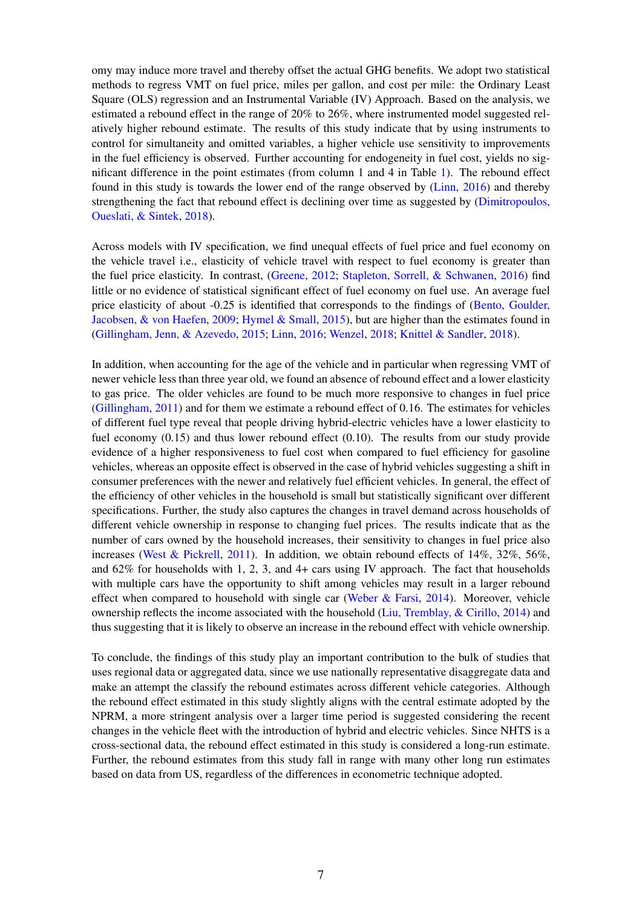omy may induce more travel and thereby offset the actual GHG benefits. We adopt two statistical methods to regress VMT on fuel price, miles per gallon, and cost per mile: the Ordinary Least Square (OLS) regression and an Instrumental Variable (IV) Approach. Based on the analysis, we estimated a rebound effect in the range of 20% to 26%, where instrumented model suggested relatively higher rebound estimate. The results of this study indicate that by using instruments to control for simultaneity and omitted variables, a higher vehicle use sensitivity to improvements in the fuel efficiency is observed. Further accounting for endogeneity in fuel cost, yields no significant difference in the point estimates (from column 1 and 4 in Table [1\)](#page-4-0). The rebound effect found in this study is towards the lower end of the range observed by [\(Linn,](#page-8-2) [2016\)](#page-8-2) and thereby strengthening the fact that rebound effect is declining over time as suggested by [\(Dimitropoulos,](#page-8-7) [Oueslati, & Sintek,](#page-8-7) [2018\)](#page-8-7).

Across models with IV specification, we find unequal effects of fuel price and fuel economy on the vehicle travel i.e., elasticity of vehicle travel with respect to fuel economy is greater than the fuel price elasticity. In contrast, [\(Greene,](#page-8-1) [2012;](#page-8-1) [Stapleton, Sorrell, & Schwanen,](#page-8-8) [2016\)](#page-8-8) find little or no evidence of statistical significant effect of fuel economy on fuel use. An average fuel price elasticity of about -0.25 is identified that corresponds to the findings of [\(Bento, Goulder,](#page-8-9) [Jacobsen, & von Haefen,](#page-8-9) [2009;](#page-8-9) [Hymel & Small,](#page-8-4) [2015\)](#page-8-4), but are higher than the estimates found in [\(Gillingham, Jenn, & Azevedo,](#page-8-10) [2015;](#page-8-10) [Linn,](#page-8-2) [2016;](#page-8-2) [Wenzel,](#page-9-3) [2018;](#page-9-3) [Knittel & Sandler,](#page-8-6) [2018\)](#page-8-6).

In addition, when accounting for the age of the vehicle and in particular when regressing VMT of newer vehicle less than three year old, we found an absence of rebound effect and a lower elasticity to gas price. The older vehicles are found to be much more responsive to changes in fuel price [\(Gillingham,](#page-8-0) [2011\)](#page-8-0) and for them we estimate a rebound effect of 0.16. The estimates for vehicles of different fuel type reveal that people driving hybrid-electric vehicles have a lower elasticity to fuel economy (0.15) and thus lower rebound effect (0.10). The results from our study provide evidence of a higher responsiveness to fuel cost when compared to fuel efficiency for gasoline vehicles, whereas an opposite effect is observed in the case of hybrid vehicles suggesting a shift in consumer preferences with the newer and relatively fuel efficient vehicles. In general, the effect of the efficiency of other vehicles in the household is small but statistically significant over different specifications. Further, the study also captures the changes in travel demand across households of different vehicle ownership in response to changing fuel prices. The results indicate that as the number of cars owned by the household increases, their sensitivity to changes in fuel price also increases [\(West & Pickrell,](#page-9-0) [2011\)](#page-9-0). In addition, we obtain rebound effects of 14%, 32%, 56%, and  $62\%$  for households with 1, 2, 3, and 4+ cars using IV approach. The fact that households with multiple cars have the opportunity to shift among vehicles may result in a larger rebound effect when compared to household with single car [\(Weber & Farsi,](#page-9-4) [2014\)](#page-9-4). Moreover, vehicle ownership reflects the income associated with the household [\(Liu, Tremblay, & Cirillo,](#page-8-11) [2014\)](#page-8-11) and thus suggesting that it is likely to observe an increase in the rebound effect with vehicle ownership.

To conclude, the findings of this study play an important contribution to the bulk of studies that uses regional data or aggregated data, since we use nationally representative disaggregate data and make an attempt the classify the rebound estimates across different vehicle categories. Although the rebound effect estimated in this study slightly aligns with the central estimate adopted by the NPRM, a more stringent analysis over a larger time period is suggested considering the recent changes in the vehicle fleet with the introduction of hybrid and electric vehicles. Since NHTS is a cross-sectional data, the rebound effect estimated in this study is considered a long-run estimate. Further, the rebound estimates from this study fall in range with many other long run estimates based on data from US, regardless of the differences in econometric technique adopted.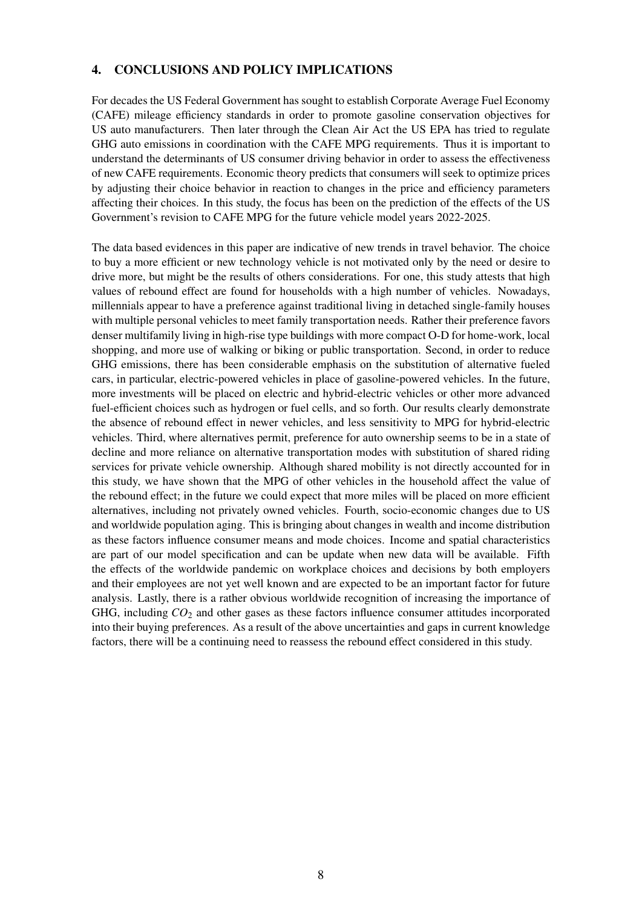## 4. CONCLUSIONS AND POLICY IMPLICATIONS

For decades the US Federal Government has sought to establish Corporate Average Fuel Economy (CAFE) mileage efficiency standards in order to promote gasoline conservation objectives for US auto manufacturers. Then later through the Clean Air Act the US EPA has tried to regulate GHG auto emissions in coordination with the CAFE MPG requirements. Thus it is important to understand the determinants of US consumer driving behavior in order to assess the effectiveness of new CAFE requirements. Economic theory predicts that consumers will seek to optimize prices by adjusting their choice behavior in reaction to changes in the price and efficiency parameters affecting their choices. In this study, the focus has been on the prediction of the effects of the US Government's revision to CAFE MPG for the future vehicle model years 2022-2025.

The data based evidences in this paper are indicative of new trends in travel behavior. The choice to buy a more efficient or new technology vehicle is not motivated only by the need or desire to drive more, but might be the results of others considerations. For one, this study attests that high values of rebound effect are found for households with a high number of vehicles. Nowadays, millennials appear to have a preference against traditional living in detached single-family houses with multiple personal vehicles to meet family transportation needs. Rather their preference favors denser multifamily living in high-rise type buildings with more compact O-D for home-work, local shopping, and more use of walking or biking or public transportation. Second, in order to reduce GHG emissions, there has been considerable emphasis on the substitution of alternative fueled cars, in particular, electric-powered vehicles in place of gasoline-powered vehicles. In the future, more investments will be placed on electric and hybrid-electric vehicles or other more advanced fuel-efficient choices such as hydrogen or fuel cells, and so forth. Our results clearly demonstrate the absence of rebound effect in newer vehicles, and less sensitivity to MPG for hybrid-electric vehicles. Third, where alternatives permit, preference for auto ownership seems to be in a state of decline and more reliance on alternative transportation modes with substitution of shared riding services for private vehicle ownership. Although shared mobility is not directly accounted for in this study, we have shown that the MPG of other vehicles in the household affect the value of the rebound effect; in the future we could expect that more miles will be placed on more efficient alternatives, including not privately owned vehicles. Fourth, socio-economic changes due to US and worldwide population aging. This is bringing about changes in wealth and income distribution as these factors influence consumer means and mode choices. Income and spatial characteristics are part of our model specification and can be update when new data will be available. Fifth the effects of the worldwide pandemic on workplace choices and decisions by both employers and their employees are not yet well known and are expected to be an important factor for future analysis. Lastly, there is a rather obvious worldwide recognition of increasing the importance of GHG, including *CO*<sup>2</sup> and other gases as these factors influence consumer attitudes incorporated into their buying preferences. As a result of the above uncertainties and gaps in current knowledge factors, there will be a continuing need to reassess the rebound effect considered in this study.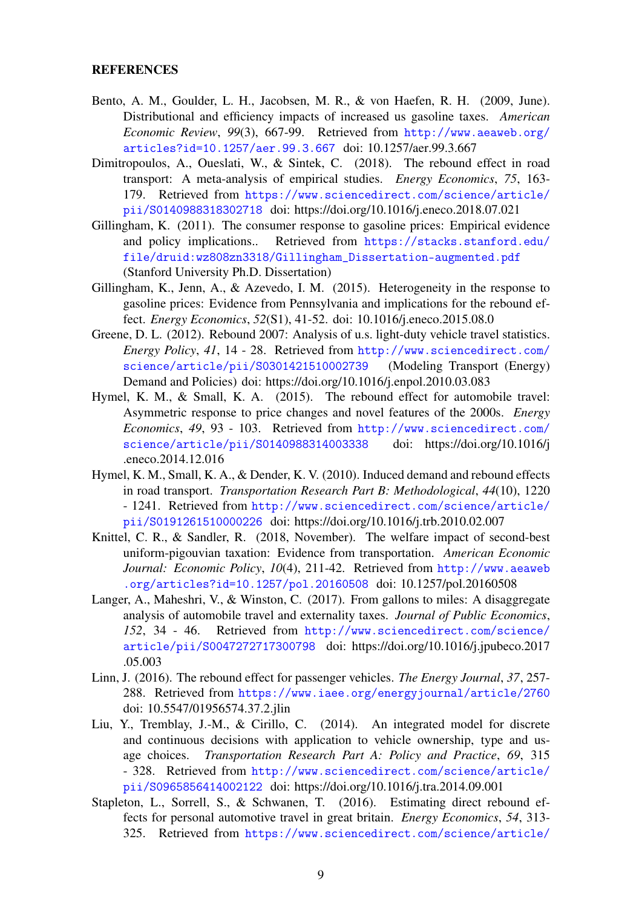#### **REFERENCES**

- <span id="page-8-9"></span>Bento, A. M., Goulder, L. H., Jacobsen, M. R., & von Haefen, R. H. (2009, June). Distributional and efficiency impacts of increased us gasoline taxes. *American Economic Review*, *99*(3), 667-99. Retrieved from [http://www.aeaweb.org/](http://www.aeaweb.org/articles?id=10.1257/aer.99.3.667) [articles?id=10.1257/aer.99.3.667](http://www.aeaweb.org/articles?id=10.1257/aer.99.3.667) doi: 10.1257/aer.99.3.667
- <span id="page-8-7"></span>Dimitropoulos, A., Oueslati, W., & Sintek, C. (2018). The rebound effect in road transport: A meta-analysis of empirical studies. *Energy Economics*, *75*, 163- 179. Retrieved from [https://www.sciencedirect.com/science/article/](https://www.sciencedirect.com/science/article/pii/S0140988318302718) [pii/S0140988318302718](https://www.sciencedirect.com/science/article/pii/S0140988318302718) doi: https://doi.org/10.1016/j.eneco.2018.07.021
- <span id="page-8-0"></span>Gillingham, K. (2011). The consumer response to gasoline prices: Empirical evidence and policy implications.. Retrieved from [https://stacks.stanford.edu/](https://stacks.stanford.edu/file/druid:wz808zn3318/Gillingham_Dissertation-augmented.pdf) [file/druid:wz808zn3318/Gillingham\\_Dissertation-augmented.pdf](https://stacks.stanford.edu/file/druid:wz808zn3318/Gillingham_Dissertation-augmented.pdf) (Stanford University Ph.D. Dissertation)
- <span id="page-8-10"></span>Gillingham, K., Jenn, A., & Azevedo, I. M. (2015). Heterogeneity in the response to gasoline prices: Evidence from Pennsylvania and implications for the rebound effect. *Energy Economics*, *52*(S1), 41-52. doi: 10.1016/j.eneco.2015.08.0
- <span id="page-8-1"></span>Greene, D. L. (2012). Rebound 2007: Analysis of u.s. light-duty vehicle travel statistics. *Energy Policy*, *41*, 14 - 28. Retrieved from [http://www.sciencedirect.com/](http://www.sciencedirect.com/science/article/pii/S0301421510002739) [science/article/pii/S0301421510002739](http://www.sciencedirect.com/science/article/pii/S0301421510002739) (Modeling Transport (Energy) Demand and Policies) doi: https://doi.org/10.1016/j.enpol.2010.03.083
- <span id="page-8-4"></span>Hymel, K. M., & Small, K. A. (2015). The rebound effect for automobile travel: Asymmetric response to price changes and novel features of the 2000s. *Energy Economics*, *49*, 93 - 103. Retrieved from [http://www.sciencedirect.com/](http://www.sciencedirect.com/science/article/pii/S0140988314003338) [science/article/pii/S0140988314003338](http://www.sciencedirect.com/science/article/pii/S0140988314003338) doi: https://doi.org/10.1016/j .eneco.2014.12.016
- <span id="page-8-3"></span>Hymel, K. M., Small, K. A., & Dender, K. V. (2010). Induced demand and rebound effects in road transport. *Transportation Research Part B: Methodological*, *44*(10), 1220 - 1241. Retrieved from [http://www.sciencedirect.com/science/article/](http://www.sciencedirect.com/science/article/pii/S0191261510000226) [pii/S0191261510000226](http://www.sciencedirect.com/science/article/pii/S0191261510000226) doi: https://doi.org/10.1016/j.trb.2010.02.007
- <span id="page-8-6"></span>Knittel, C. R., & Sandler, R. (2018, November). The welfare impact of second-best uniform-pigouvian taxation: Evidence from transportation. *American Economic Journal: Economic Policy*, *10*(4), 211-42. Retrieved from [http://www.aeaweb](http://www.aeaweb.org/articles?id=10.1257/pol.20160508) [.org/articles?id=10.1257/pol.20160508](http://www.aeaweb.org/articles?id=10.1257/pol.20160508) doi: 10.1257/pol.20160508
- <span id="page-8-5"></span>Langer, A., Maheshri, V., & Winston, C. (2017). From gallons to miles: A disaggregate analysis of automobile travel and externality taxes. *Journal of Public Economics*, *152*, 34 - 46. Retrieved from [http://www.sciencedirect.com/science/](http://www.sciencedirect.com/science/article/pii/S0047272717300798) [article/pii/S0047272717300798](http://www.sciencedirect.com/science/article/pii/S0047272717300798) doi: https://doi.org/10.1016/j.jpubeco.2017 .05.003
- <span id="page-8-2"></span>Linn, J. (2016). The rebound effect for passenger vehicles. *The Energy Journal*, *37*, 257- 288. Retrieved from <https://www.iaee.org/energyjournal/article/2760> doi: 10.5547/01956574.37.2.jlin
- <span id="page-8-11"></span>Liu, Y., Tremblay, J.-M., & Cirillo, C. (2014). An integrated model for discrete and continuous decisions with application to vehicle ownership, type and usage choices. *Transportation Research Part A: Policy and Practice*, *69*, 315 - 328. Retrieved from [http://www.sciencedirect.com/science/article/](http://www.sciencedirect.com/science/article/pii/S0965856414002122) [pii/S0965856414002122](http://www.sciencedirect.com/science/article/pii/S0965856414002122) doi: https://doi.org/10.1016/j.tra.2014.09.001
- <span id="page-8-8"></span>Stapleton, L., Sorrell, S., & Schwanen, T. (2016). Estimating direct rebound effects for personal automotive travel in great britain. *Energy Economics*, *54*, 313- 325. Retrieved from [https://www.sciencedirect.com/science/article/](https://www.sciencedirect.com/science/article/pii/S0140988316000025)